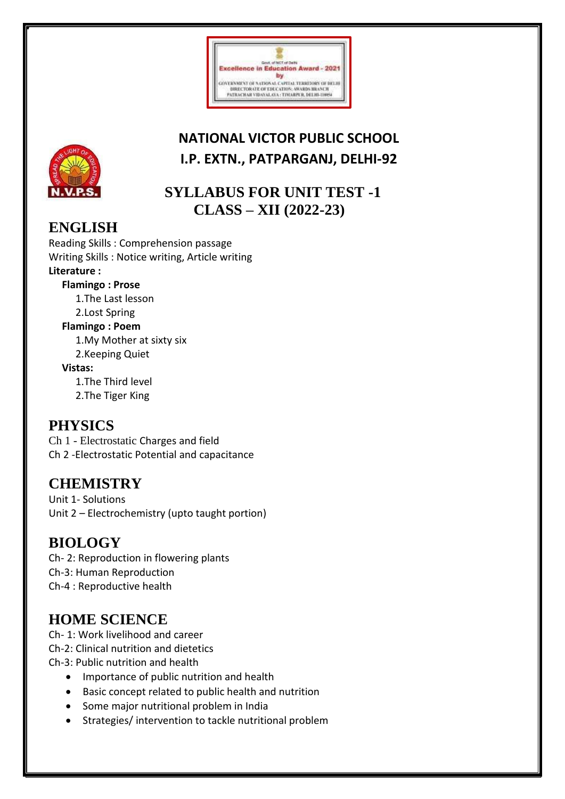

# **NATIONAL VICTOR PUBLIC SCHOOL I.P. EXTN., PATPARGANJ, DELHI-92**



## **SYLLABUS FOR UNIT TEST -1 CLASS – XII (2022-23)**

## **ENGLISH**

Reading Skills : Comprehension passage Writing Skills : Notice writing, Article writing **Literature : Flamingo : Prose** 1.The Last lesson 2.Lost Spring **Flamingo : Poem** 1.My Mother at sixty six 2.Keeping Quiet **Vistas:** 1.The Third level 2.The Tiger King

## **PHYSICS**

Ch 1 - Electrostatic Charges and field Ch 2 -Electrostatic Potential and capacitance

## **CHEMISTRY**

Unit 1- Solutions Unit 2 – Electrochemistry (upto taught portion)

# **BIOLOGY**

Ch- 2: Reproduction in flowering plants Ch-3: Human Reproduction Ch-4 : Reproductive health

# **HOME SCIENCE**

Ch- 1: Work livelihood and career

Ch-2: Clinical nutrition and dietetics

Ch-3: Public nutrition and health

- Importance of public nutrition and health
- Basic concept related to public health and nutrition
- Some major nutritional problem in India
- Strategies/ intervention to tackle nutritional problem